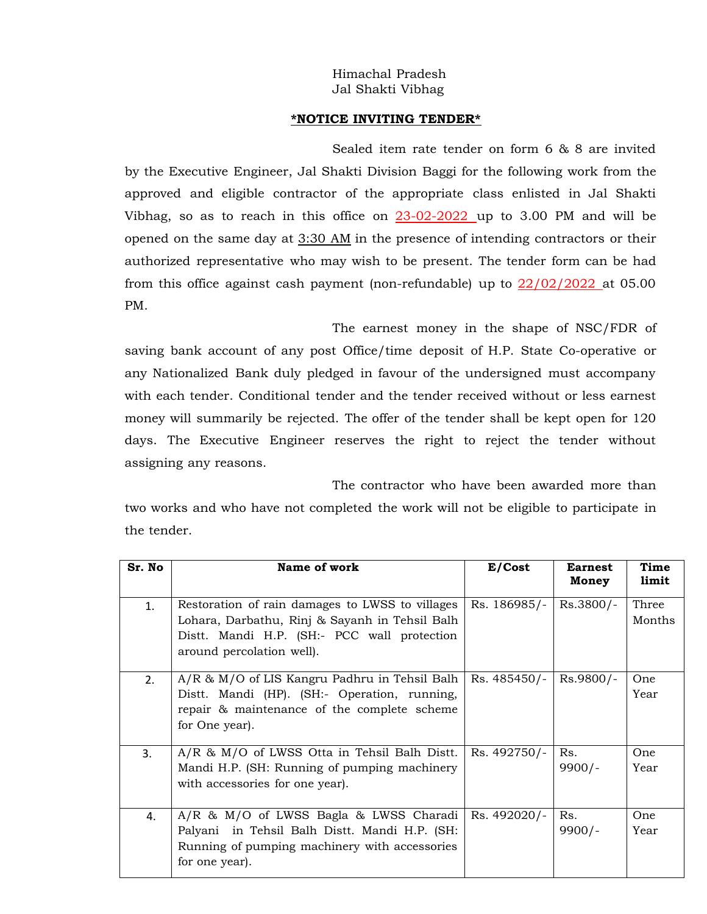## Himachal Pradesh Jal Shakti Vibhag

## **\*NOTICE INVITING TENDER\***

Sealed item rate tender on form 6 & 8 are invited by the Executive Engineer, Jal Shakti Division Baggi for the following work from the approved and eligible contractor of the appropriate class enlisted in Jal Shakti Vibhag, so as to reach in this office on 23-02-2022 up to 3.00 PM and will be opened on the same day at 3:30 AM in the presence of intending contractors or their authorized representative who may wish to be present. The tender form can be had from this office against cash payment (non-refundable) up to  $22/02/2022$  at 05.00 PM.

The earnest money in the shape of NSC/FDR of saving bank account of any post Office/time deposit of H.P. State Co-operative or any Nationalized Bank duly pledged in favour of the undersigned must accompany with each tender. Conditional tender and the tender received without or less earnest money will summarily be rejected. The offer of the tender shall be kept open for 120 days. The Executive Engineer reserves the right to reject the tender without assigning any reasons.

The contractor who have been awarded more than two works and who have not completed the work will not be eligible to participate in the tender.

| Sr. No | Name of work                                                                                                                                                                  | E/Cost       | <b>Earnest</b><br>Money | Time<br>limit   |
|--------|-------------------------------------------------------------------------------------------------------------------------------------------------------------------------------|--------------|-------------------------|-----------------|
| 1.     | Restoration of rain damages to LWSS to villages<br>Lohara, Darbathu, Rinj & Sayanh in Tehsil Balh<br>Distt. Mandi H.P. (SH:- PCC wall protection<br>around percolation well). | Rs. 186985/- | Rs.3800/-               | Three<br>Months |
| 2.     | $A/R \& M/O$ of LIS Kangru Padhru in Tehsil Balh  <br>Distt. Mandi (HP). (SH:- Operation, running,<br>repair & maintenance of the complete scheme<br>for One year).           | Rs. 485450/- | Rs.9800/-               | One<br>Year     |
| 3.     | $A/R$ & $M/O$ of LWSS Otta in Tehsil Balh Distt.<br>Mandi H.P. (SH: Running of pumping machinery<br>with accessories for one year).                                           | Rs. 492750/- | Rs.<br>$9900/-$         | One<br>Year     |
| 4.     | A/R & M/O of LWSS Bagla & LWSS Charadi<br>Palyani in Tehsil Balh Distt. Mandi H.P. (SH:<br>Running of pumping machinery with accessories<br>for one year).                    | Rs. 492020/- | Rs.<br>$9900/-$         | One<br>Year     |